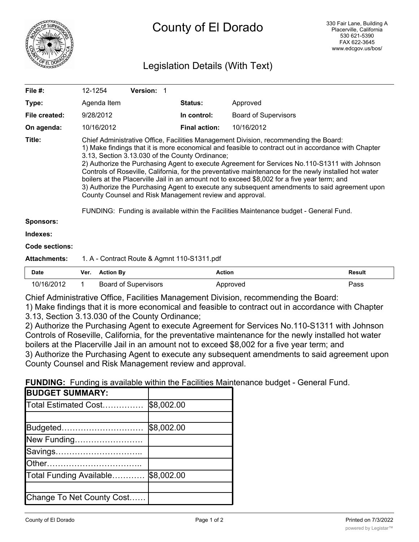

# Legislation Details (With Text)

| File $#$ :          | 12-1254                                                                                                                                                                                                                                                                                                                                                                                                                                                                                                                                                                                                                                                                                                                                                                                                        | <b>Version: 1</b> |  |                      |                             |               |
|---------------------|----------------------------------------------------------------------------------------------------------------------------------------------------------------------------------------------------------------------------------------------------------------------------------------------------------------------------------------------------------------------------------------------------------------------------------------------------------------------------------------------------------------------------------------------------------------------------------------------------------------------------------------------------------------------------------------------------------------------------------------------------------------------------------------------------------------|-------------------|--|----------------------|-----------------------------|---------------|
| Type:               | Agenda Item                                                                                                                                                                                                                                                                                                                                                                                                                                                                                                                                                                                                                                                                                                                                                                                                    |                   |  | <b>Status:</b>       | Approved                    |               |
| File created:       | 9/28/2012                                                                                                                                                                                                                                                                                                                                                                                                                                                                                                                                                                                                                                                                                                                                                                                                      |                   |  | In control:          | <b>Board of Supervisors</b> |               |
| On agenda:          | 10/16/2012                                                                                                                                                                                                                                                                                                                                                                                                                                                                                                                                                                                                                                                                                                                                                                                                     |                   |  | <b>Final action:</b> | 10/16/2012                  |               |
| Title:              | Chief Administrative Office, Facilities Management Division, recommending the Board:<br>1) Make findings that it is more economical and feasible to contract out in accordance with Chapter<br>3.13, Section 3.13.030 of the County Ordinance;<br>2) Authorize the Purchasing Agent to execute Agreement for Services No.110-S1311 with Johnson<br>Controls of Roseville, California, for the preventative maintenance for the newly installed hot water<br>boilers at the Placerville Jail in an amount not to exceed \$8,002 for a five year term; and<br>3) Authorize the Purchasing Agent to execute any subsequent amendments to said agreement upon<br>County Counsel and Risk Management review and approval.<br>FUNDING: Funding is available within the Facilities Maintenance budget - General Fund. |                   |  |                      |                             |               |
| <b>Sponsors:</b>    |                                                                                                                                                                                                                                                                                                                                                                                                                                                                                                                                                                                                                                                                                                                                                                                                                |                   |  |                      |                             |               |
| Indexes:            |                                                                                                                                                                                                                                                                                                                                                                                                                                                                                                                                                                                                                                                                                                                                                                                                                |                   |  |                      |                             |               |
| Code sections:      |                                                                                                                                                                                                                                                                                                                                                                                                                                                                                                                                                                                                                                                                                                                                                                                                                |                   |  |                      |                             |               |
| <b>Attachments:</b> | 1. A - Contract Route & Agmnt 110-S1311.pdf                                                                                                                                                                                                                                                                                                                                                                                                                                                                                                                                                                                                                                                                                                                                                                    |                   |  |                      |                             |               |
| <b>Data</b>         | Var Astian Du                                                                                                                                                                                                                                                                                                                                                                                                                                                                                                                                                                                                                                                                                                                                                                                                  |                   |  | A                    |                             | <b>Decuit</b> |

| Date       | Ver. | <b>Action By</b>     | Action   | Result |
|------------|------|----------------------|----------|--------|
| 10/16/2012 |      | Board of Supervisors | Approved | ass    |

Chief Administrative Office, Facilities Management Division, recommending the Board:

1) Make findings that it is more economical and feasible to contract out in accordance with Chapter 3.13, Section 3.13.030 of the County Ordinance;

2) Authorize the Purchasing Agent to execute Agreement for Services No.110-S1311 with Johnson Controls of Roseville, California, for the preventative maintenance for the newly installed hot water boilers at the Placerville Jail in an amount not to exceed \$8,002 for a five year term; and 3) Authorize the Purchasing Agent to execute any subsequent amendments to said agreement upon County Counsel and Risk Management review and approval.

**FUNDING:** Funding is available within the Facilities Maintenance budget - General Fund.

| <b>BUDGET SUMMARY:</b>    |            |
|---------------------------|------------|
| Total Estimated Cost      | \$8,002.00 |
|                           |            |
| Budgeted                  | \$8,002.00 |
| New Funding               |            |
| Savings                   |            |
|                           |            |
| Total Funding Available   | \$8,002.00 |
|                           |            |
| Change To Net County Cost |            |